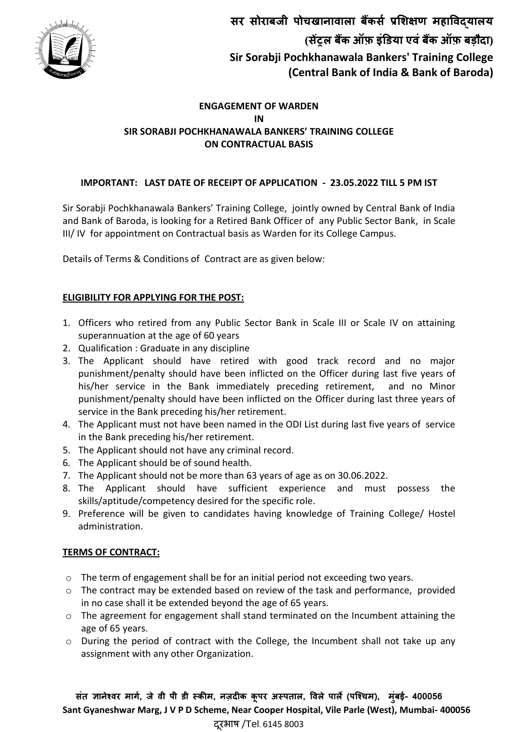

# **ENGAGEMENT OF WARDEN IN SIR SORABJI POCHKHANAWALA BANKERS' TRAINING COLLEGE ON CONTRACTUAL BASIS**

# **IMPORTANT: LAST DATE OF RECEIPT OF APPLICATION - 23.05.2022 TILL 5 PM IST**

Sir Sorabji Pochkhanawala Bankers' Training College, jointly owned by Central Bank of India and Bank of Baroda, is looking for a Retired Bank Officer of any Public Sector Bank, in Scale III/ IV for appointment on Contractual basis as Warden for its College Campus.

Details of Terms & Conditions of Contract are as given below:

## **ELIGIBILITY FOR APPLYING FOR THE POST:**

- 1. Officers who retired from any Public Sector Bank in Scale III or Scale IV on attaining superannuation at the age of 60 years
- 2. Qualification : Graduate in any discipline
- 3. The Applicant should have retired with good track record and no major punishment/penalty should have been inflicted on the Officer during last five years of his/her service in the Bank immediately preceding retirement, and no Minor punishment/penalty should have been inflicted on the Officer during last three years of service in the Bank preceding his/her retirement.
- 4. The Applicant must not have been named in the ODI List during last five years of service in the Bank preceding his/her retirement.
- 5. The Applicant should not have any criminal record.
- 6. The Applicant should be of sound health.
- 7. The Applicant should not be more than 63 years of age as on 30.06.2022.
- 8. The Applicant should have sufficient experience and must possess the skills/aptitude/competency desired for the specific role.
- 9. Preference will be given to candidates having knowledge of Training College/ Hostel administration.

## **TERMS OF CONTRACT:**

- o The term of engagement shall be for an initial period not exceeding two years.
- o The contract may be extended based on review of the task and performance, provided in no case shall it be extended beyond the age of 65 years.
- o The agreement for engagement shall stand terminated on the Incumbent attaining the age of 65 years.
- o During the period of contract with the College, the Incumbent shall not take up any assignment with any other Organization.

 **जे वी पी डी स्कीम, ववऱे पाऱे( ), म ुंबई- 400056 Sant Gyaneshwar Marg, J V P D Scheme, Near Cooper Hospital, Vile Parle (West), Mumbai- 400056** दूरभाष /Tel. 6145 8003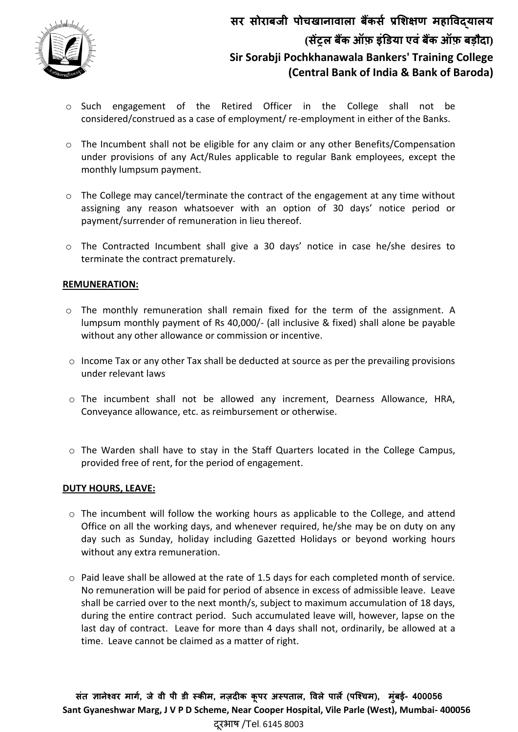

- o Such engagement of the Retired Officer in the College shall not be considered/construed as a case of employment/ re-employment in either of the Banks.
- o The Incumbent shall not be eligible for any claim or any other Benefits/Compensation under provisions of any Act/Rules applicable to regular Bank employees, except the monthly lumpsum payment.
- o The College may cancel/terminate the contract of the engagement at any time without assigning any reason whatsoever with an option of 30 days' notice period or payment/surrender of remuneration in lieu thereof.
- o The Contracted Incumbent shall give a 30 days' notice in case he/she desires to terminate the contract prematurely.

## **REMUNERATION:**

- o The monthly remuneration shall remain fixed for the term of the assignment. A lumpsum monthly payment of Rs 40,000/- (all inclusive & fixed) shall alone be payable without any other allowance or commission or incentive.
- $\circ$  Income Tax or any other Tax shall be deducted at source as per the prevailing provisions under relevant laws
- o The incumbent shall not be allowed any increment, Dearness Allowance, HRA, Conveyance allowance, etc. as reimbursement or otherwise.
- $\circ$  The Warden shall have to stay in the Staff Quarters located in the College Campus, provided free of rent, for the period of engagement.

#### **DUTY HOURS, LEAVE:**

- $\circ$  The incumbent will follow the working hours as applicable to the College, and attend Office on all the working days, and whenever required, he/she may be on duty on any day such as Sunday, holiday including Gazetted Holidays or beyond working hours without any extra remuneration.
- o Paid leave shall be allowed at the rate of 1.5 days for each completed month of service. No remuneration will be paid for period of absence in excess of admissible leave. Leave shall be carried over to the next month/s, subject to maximum accumulation of 18 days, during the entire contract period. Such accumulated leave will, however, lapse on the last day of contract. Leave for more than 4 days shall not, ordinarily, be allowed at a time. Leave cannot be claimed as a matter of right.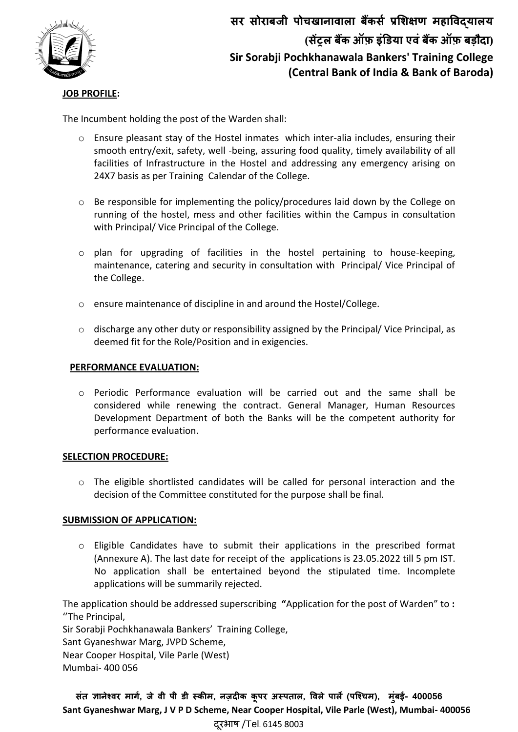

## **JOB PROFILE:**

The Incumbent holding the post of the Warden shall:

- o Ensure pleasant stay of the Hostel inmates which inter-alia includes, ensuring their smooth entry/exit, safety, well -being, assuring food quality, timely availability of all facilities of Infrastructure in the Hostel and addressing any emergency arising on 24X7 basis as per Training Calendar of the College.
- o Be responsible for implementing the policy/procedures laid down by the College on running of the hostel, mess and other facilities within the Campus in consultation with Principal/ Vice Principal of the College.
- o plan for upgrading of facilities in the hostel pertaining to house-keeping, maintenance, catering and security in consultation with Principal/ Vice Principal of the College.
- o ensure maintenance of discipline in and around the Hostel/College.
- $\circ$  discharge any other duty or responsibility assigned by the Principal/ Vice Principal, as deemed fit for the Role/Position and in exigencies.

#### **PERFORMANCE EVALUATION:**

o Periodic Performance evaluation will be carried out and the same shall be considered while renewing the contract. General Manager, Human Resources Development Department of both the Banks will be the competent authority for performance evaluation.

#### **SELECTION PROCEDURE:**

 $\circ$  The eligible shortlisted candidates will be called for personal interaction and the decision of the Committee constituted for the purpose shall be final.

#### **SUBMISSION OF APPLICATION:**

o Eligible Candidates have to submit their applications in the prescribed format (Annexure A). The last date for receipt of the applications is 23.05.2022 till 5 pm IST. No application shall be entertained beyond the stipulated time. Incomplete applications will be summarily rejected.

The application should be addressed superscribing **"**Application for the post of Warden" to **:** ''The Principal,

Sir Sorabji Pochkhanawala Bankers' Training College, Sant Gyaneshwar Marg, JVPD Scheme, Near Cooper Hospital, Vile Parle (West) Mumbai- 400 056

 **जे वी पी डी स्कीम, ववऱे पाऱे( ), म ुंबई- 400056 Sant Gyaneshwar Marg, J V P D Scheme, Near Cooper Hospital, Vile Parle (West), Mumbai- 400056** दरभाष /Tel. 6145 8003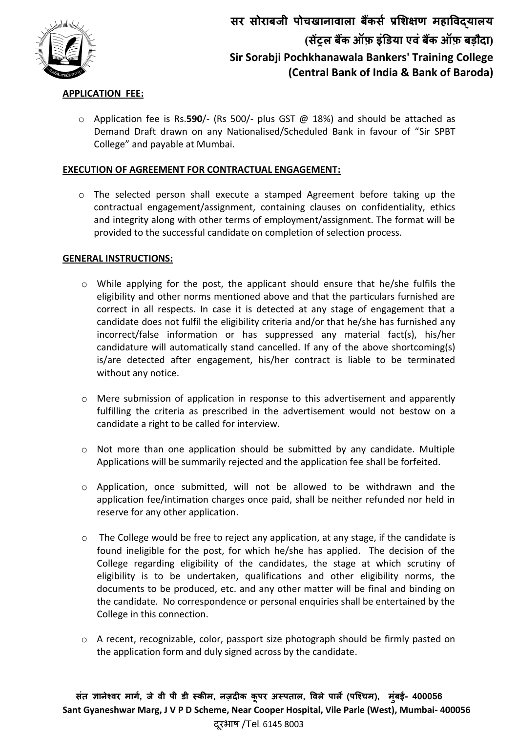

### **APPLICATION FEE:**

o Application fee is Rs.**590**/- (Rs 500/- plus GST @ 18%) and should be attached as Demand Draft drawn on any Nationalised/Scheduled Bank in favour of "Sir SPBT College" and payable at Mumbai.

## **EXECUTION OF AGREEMENT FOR CONTRACTUAL ENGAGEMENT:**

o The selected person shall execute a stamped Agreement before taking up the contractual engagement/assignment, containing clauses on confidentiality, ethics and integrity along with other terms of employment/assignment. The format will be provided to the successful candidate on completion of selection process.

## **GENERAL INSTRUCTIONS:**

- o While applying for the post, the applicant should ensure that he/she fulfils the eligibility and other norms mentioned above and that the particulars furnished are correct in all respects. In case it is detected at any stage of engagement that a candidate does not fulfil the eligibility criteria and/or that he/she has furnished any incorrect/false information or has suppressed any material fact(s), his/her candidature will automatically stand cancelled. If any of the above shortcoming(s) is/are detected after engagement, his/her contract is liable to be terminated without any notice.
- o Mere submission of application in response to this advertisement and apparently fulfilling the criteria as prescribed in the advertisement would not bestow on a candidate a right to be called for interview.
- o Not more than one application should be submitted by any candidate. Multiple Applications will be summarily rejected and the application fee shall be forfeited.
- o Application, once submitted, will not be allowed to be withdrawn and the application fee/intimation charges once paid, shall be neither refunded nor held in reserve for any other application.
- o The College would be free to reject any application, at any stage, if the candidate is found ineligible for the post, for which he/she has applied. The decision of the College regarding eligibility of the candidates, the stage at which scrutiny of eligibility is to be undertaken, qualifications and other eligibility norms, the documents to be produced, etc. and any other matter will be final and binding on the candidate. No correspondence or personal enquiries shall be entertained by the College in this connection.
- o A recent, recognizable, color, passport size photograph should be firmly pasted on the application form and duly signed across by the candidate.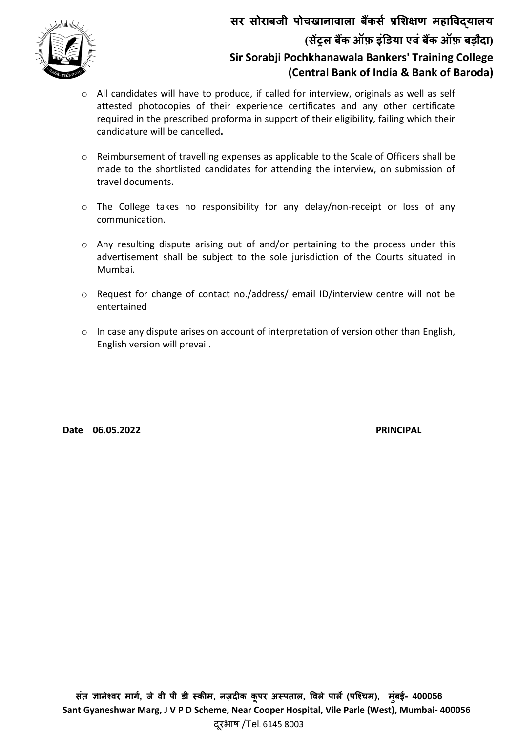

- o All candidates will have to produce, if called for interview, originals as well as self attested photocopies of their experience certificates and any other certificate required in the prescribed proforma in support of their eligibility, failing which their candidature will be cancelled**.**
- o Reimbursement of travelling expenses as applicable to the Scale of Officers shall be made to the shortlisted candidates for attending the interview, on submission of travel documents.
- o The College takes no responsibility for any delay/non-receipt or loss of any communication.
- o Any resulting dispute arising out of and/or pertaining to the process under this advertisement shall be subject to the sole jurisdiction of the Courts situated in Mumbai.
- o Request for change of contact no./address/ email ID/interview centre will not be entertained
- $\circ$  In case any dispute arises on account of interpretation of version other than English, English version will prevail.

Date 06.05.2022 **PRINCIPAL**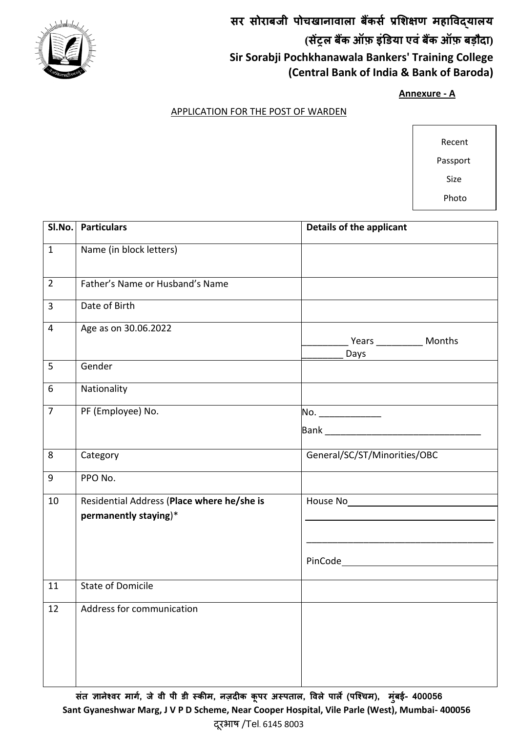

**Annexure - A**

# APPLICATION FOR THE POST OF WARDEN

 Recent Passport Size

Photo

**SI.No.** Particulars **COLORED EXECUTE: Details** of the applicant 1 Name (in block letters) 2 Father's Name or Husband's Name 3 Date of Birth 4 Age as on 30.06.2022 \_\_\_\_\_\_\_\_\_ Years \_\_\_\_\_\_\_\_\_ Months Days 5 Gender 6 Nationality 7 PF (Employee) No. 2008 No.  $\blacksquare$ Bank  $\blacksquare$ 8 Category General/SC/ST/Minorities/OBC 9 PPO No. 10 Residential Address (**Place where he/she is permanently staying**)\* House No Street Locality Landmark \_\_\_\_\_\_\_\_\_\_\_\_\_\_\_\_\_\_\_\_\_\_\_\_\_\_\_\_\_\_\_\_\_\_\_\_ PinCode 11 State of Domicile 12 Address for communication

 **जे वी पी डी स्कीम, ववऱे पाऱे( ), म ुंबई- 400056 Sant Gyaneshwar Marg, J V P D Scheme, Near Cooper Hospital, Vile Parle (West), Mumbai- 400056** दरभाष /Tel. 6145 8003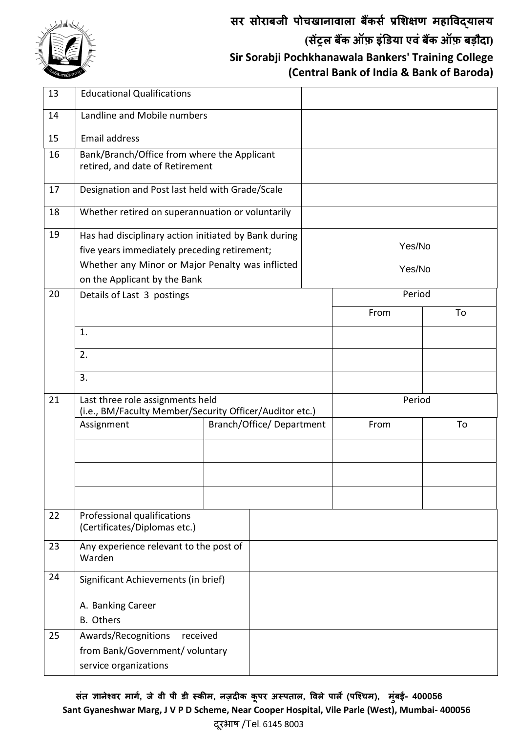

| 13 | <b>Educational Qualifications</b>                                                                                                                        |                          |  |        |        |    |  |
|----|----------------------------------------------------------------------------------------------------------------------------------------------------------|--------------------------|--|--------|--------|----|--|
| 14 | Landline and Mobile numbers                                                                                                                              |                          |  |        |        |    |  |
| 15 | Email address                                                                                                                                            |                          |  |        |        |    |  |
| 16 | Bank/Branch/Office from where the Applicant<br>retired, and date of Retirement                                                                           |                          |  |        |        |    |  |
| 17 | Designation and Post last held with Grade/Scale                                                                                                          |                          |  |        |        |    |  |
| 18 | Whether retired on superannuation or voluntarily                                                                                                         |                          |  |        |        |    |  |
| 19 | Has had disciplinary action initiated by Bank during<br>five years immediately preceding retirement;<br>Whether any Minor or Major Penalty was inflicted |                          |  | Yes/No |        |    |  |
|    | on the Applicant by the Bank                                                                                                                             |                          |  | Yes/No |        |    |  |
| 20 | Details of Last 3 postings                                                                                                                               |                          |  |        | Period |    |  |
|    |                                                                                                                                                          |                          |  |        | From   | To |  |
|    | 1.                                                                                                                                                       |                          |  |        |        |    |  |
|    | 2.                                                                                                                                                       |                          |  |        |        |    |  |
|    | 3.                                                                                                                                                       |                          |  |        |        |    |  |
| 21 | Last three role assignments held<br>(i.e., BM/Faculty Member/Security Officer/Auditor etc.)                                                              |                          |  |        | Period |    |  |
|    | Assignment                                                                                                                                               | Branch/Office/Department |  |        | From   | To |  |
|    |                                                                                                                                                          |                          |  |        |        |    |  |
|    |                                                                                                                                                          |                          |  |        |        |    |  |
|    |                                                                                                                                                          |                          |  |        |        |    |  |
| 22 | Professional qualifications<br>(Certificates/Diplomas etc.)                                                                                              |                          |  |        |        |    |  |
| 23 | Any experience relevant to the post of<br>Warden                                                                                                         |                          |  |        |        |    |  |
| 24 | Significant Achievements (in brief)<br>A. Banking Career                                                                                                 |                          |  |        |        |    |  |
|    |                                                                                                                                                          |                          |  |        |        |    |  |
|    | <b>B.</b> Others                                                                                                                                         |                          |  |        |        |    |  |
| 25 | Awards/Recognitions<br>received                                                                                                                          |                          |  |        |        |    |  |
|    | from Bank/Government/ voluntary                                                                                                                          |                          |  |        |        |    |  |
|    | service organizations                                                                                                                                    |                          |  |        |        |    |  |

 **जे वी पी डी स्कीम, ववऱे पाऱे( ), म ुंबई- 400056 Sant Gyaneshwar Marg, J V P D Scheme, Near Cooper Hospital, Vile Parle (West), Mumbai- 400056** दूरभाष /Tel. 6145 8003